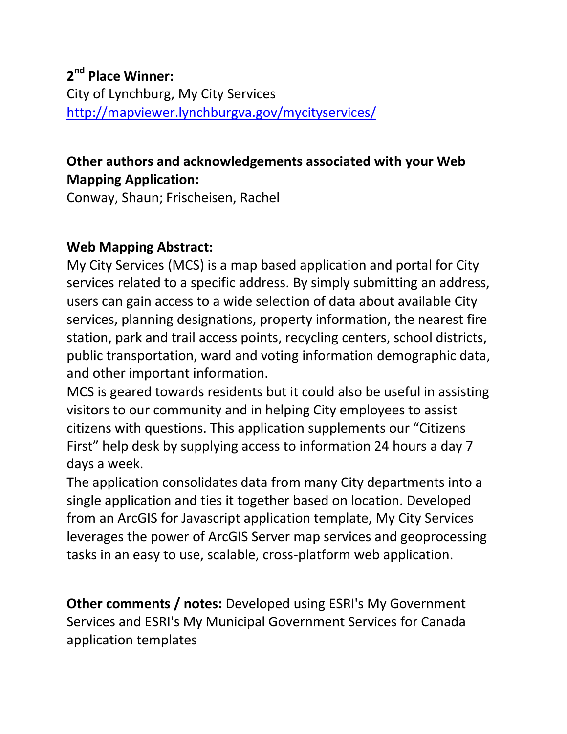## **Other authors and acknowledgements associated with your Web Mapping Application:**

Conway, Shaun; Frischeisen, Rachel

## **Web Mapping Abstract:**

My City Services (MCS) is a map based application and portal for City services related to a specific address. By simply submitting an address, users can gain access to a wide selection of data about available City services, planning designations, property information, the nearest fire station, park and trail access points, recycling centers, school districts, public transportation, ward and voting information demographic data, and other important information.

MCS is geared towards residents but it could also be useful in assisting visitors to our community and in helping City employees to assist citizens with questions. This application supplements our "Citizens First" help desk by supplying access to information 24 hours a day 7 days a week.

The application consolidates data from many City departments into a single application and ties it together based on location. Developed from an ArcGIS for Javascript application template, My City Services leverages the power of ArcGIS Server map services and geoprocessing tasks in an easy to use, scalable, cross-platform web application.

**Other comments / notes:** Developed using ESRI's My Government Services and ESRI's My Municipal Government Services for Canada application templates